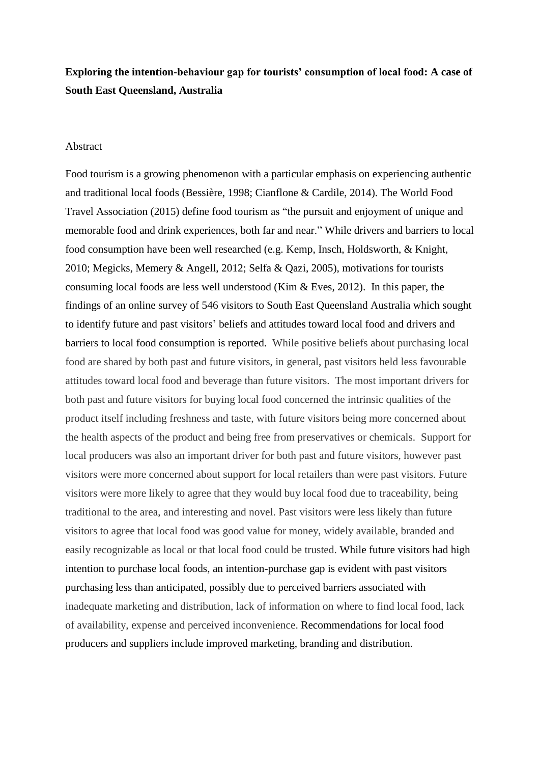## **Exploring the intention-behaviour gap for tourists' consumption of local food: A case of South East Queensland, Australia**

## Abstract

Food tourism is a growing phenomenon with a particular emphasis on experiencing authentic and traditional local foods (Bessière, 1998; Cianflone & Cardile, 2014). The World Food Travel Association (2015) define food tourism as "the pursuit and enjoyment of unique and memorable food and drink experiences, both far and near." While drivers and barriers to local food consumption have been well researched (e.g. Kemp, Insch, Holdsworth, & Knight, 2010; Megicks, Memery & Angell, 2012; Selfa & Qazi, 2005), motivations for tourists consuming local foods are less well understood (Kim  $\&$  Eves, 2012). In this paper, the findings of an online survey of 546 visitors to South East Queensland Australia which sought to identify future and past visitors' beliefs and attitudes toward local food and drivers and barriers to local food consumption is reported. While positive beliefs about purchasing local food are shared by both past and future visitors, in general, past visitors held less favourable attitudes toward local food and beverage than future visitors. The most important drivers for both past and future visitors for buying local food concerned the intrinsic qualities of the product itself including freshness and taste, with future visitors being more concerned about the health aspects of the product and being free from preservatives or chemicals. Support for local producers was also an important driver for both past and future visitors, however past visitors were more concerned about support for local retailers than were past visitors. Future visitors were more likely to agree that they would buy local food due to traceability, being traditional to the area, and interesting and novel. Past visitors were less likely than future visitors to agree that local food was good value for money, widely available, branded and easily recognizable as local or that local food could be trusted. While future visitors had high intention to purchase local foods, an intention-purchase gap is evident with past visitors purchasing less than anticipated, possibly due to perceived barriers associated with inadequate marketing and distribution, lack of information on where to find local food, lack of availability, expense and perceived inconvenience. Recommendations for local food producers and suppliers include improved marketing, branding and distribution.